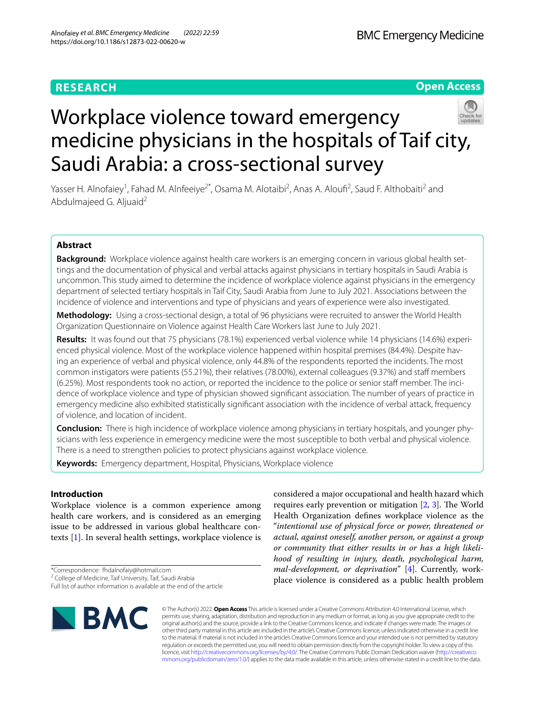# **RESEARCH**

**Open Access**

# Workplace violence toward emergency medicine physicians in the hospitals of Taif city, Saudi Arabia: a cross-sectional survey

Yasser H. Alnofaiey<sup>1</sup>, Fahad M. Alnfeeiye<sup>2\*</sup>, Osama M. Alotaibi<sup>2</sup>, Anas A. Aloufi<sup>2</sup>, Saud F. Althobaiti<sup>2</sup> and Abdulmajeed G. Aljuaid<sup>2</sup>

# **Abstract**

**Background:** Workplace violence against health care workers is an emerging concern in various global health settings and the documentation of physical and verbal attacks against physicians in tertiary hospitals in Saudi Arabia is uncommon. This study aimed to determine the incidence of workplace violence against physicians in the emergency department of selected tertiary hospitals in Taif City, Saudi Arabia from June to July 2021. Associations between the incidence of violence and interventions and type of physicians and years of experience were also investigated.

**Methodology:** Using a cross-sectional design, a total of 96 physicians were recruited to answer the World Health Organization Questionnaire on Violence against Health Care Workers last June to July 2021.

**Results:** It was found out that 75 physicians (78.1%) experienced verbal violence while 14 physicians (14.6%) experienced physical violence. Most of the workplace violence happened within hospital premises (84.4%). Despite having an experience of verbal and physical violence, only 44.8% of the respondents reported the incidents. The most common instigators were patients (55.21%), their relatives (78.00%), external colleagues (9.37%) and staf members (6.25%). Most respondents took no action, or reported the incidence to the police or senior staff member. The incidence of workplace violence and type of physician showed signifcant association. The number of years of practice in emergency medicine also exhibited statistically signifcant association with the incidence of verbal attack, frequency of violence, and location of incident.

**Conclusion:** There is high incidence of workplace violence among physicians in tertiary hospitals, and younger physicians with less experience in emergency medicine were the most susceptible to both verbal and physical violence. There is a need to strengthen policies to protect physicians against workplace violence.

**Keywords:** Emergency department, Hospital, Physicians, Workplace violence

# **Introduction**

Workplace violence is a common experience among health care workers, and is considered as an emerging issue to be addressed in various global healthcare contexts [\[1](#page-7-0)]. In several health settings, workplace violence is

\*Correspondence: fhdalnofaiy@hotmail.com

**BMC** 

considered a major occupational and health hazard which requires early prevention or mitigation  $[2, 3]$  $[2, 3]$  $[2, 3]$  $[2, 3]$ . The World Health Organization defnes workplace violence as the "*intentional use of physical force or power, threatened or actual, against oneself, another person, or against a group or community that either results in or has a high likelihood of resulting in injury, death, psychological harm, mal-development, or deprivation*" [[4\]](#page-7-3). Currently, workplace violence is considered as a public health problem

© The Author(s) 2022. **Open Access** This article is licensed under a Creative Commons Attribution 4.0 International License, which permits use, sharing, adaptation, distribution and reproduction in any medium or format, as long as you give appropriate credit to the original author(s) and the source, provide a link to the Creative Commons licence, and indicate if changes were made. The images or other third party material in this article are included in the article's Creative Commons licence, unless indicated otherwise in a credit line to the material. If material is not included in the article's Creative Commons licence and your intended use is not permitted by statutory regulation or exceeds the permitted use, you will need to obtain permission directly from the copyright holder. To view a copy of this licence, visit [http://creativecommons.org/licenses/by/4.0/.](http://creativecommons.org/licenses/by/4.0/) The Creative Commons Public Domain Dedication waiver ([http://creativeco](http://creativecommons.org/publicdomain/zero/1.0/) [mmons.org/publicdomain/zero/1.0/](http://creativecommons.org/publicdomain/zero/1.0/)) applies to the data made available in this article, unless otherwise stated in a credit line to the data.

<sup>&</sup>lt;sup>2</sup> College of Medicine, Taif University, Taif, Saudi Arabia

Full list of author information is available at the end of the article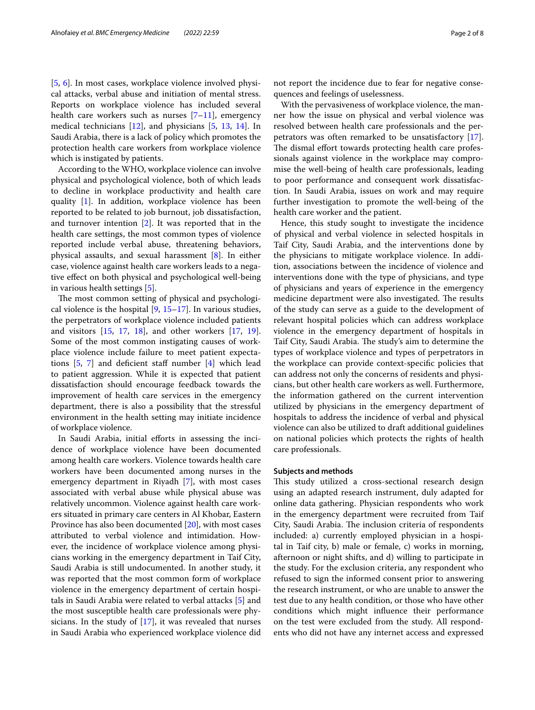[[5,](#page-7-4) [6](#page-7-5)]. In most cases, workplace violence involved physical attacks, verbal abuse and initiation of mental stress. Reports on workplace violence has included several health care workers such as nurses  $[7-11]$  $[7-11]$ , emergency medical technicians [[12\]](#page-7-8), and physicians [\[5](#page-7-4), [13](#page-7-9), [14](#page-7-10)]. In Saudi Arabia, there is a lack of policy which promotes the protection health care workers from workplace violence which is instigated by patients.

According to the WHO, workplace violence can involve physical and psychological violence, both of which leads to decline in workplace productivity and health care quality [\[1](#page-7-0)]. In addition, workplace violence has been reported to be related to job burnout, job dissatisfaction, and turnover intention [[2\]](#page-7-1). It was reported that in the health care settings, the most common types of violence reported include verbal abuse, threatening behaviors, physical assaults, and sexual harassment [\[8](#page-7-11)]. In either case, violence against health care workers leads to a negative efect on both physical and psychological well-being in various health settings [\[5](#page-7-4)].

The most common setting of physical and psychological violence is the hospital  $[9, 15-17]$  $[9, 15-17]$  $[9, 15-17]$  $[9, 15-17]$ . In various studies, the perpetrators of workplace violence included patients and visitors [[15,](#page-7-13) [17](#page-7-14), [18](#page-7-15)], and other workers [\[17,](#page-7-14) [19](#page-7-16)]. Some of the most common instigating causes of workplace violence include failure to meet patient expectations  $[5, 7]$  $[5, 7]$  $[5, 7]$  $[5, 7]$  and deficient staff number  $[4]$  $[4]$  $[4]$  which lead to patient aggression. While it is expected that patient dissatisfaction should encourage feedback towards the improvement of health care services in the emergency department, there is also a possibility that the stressful environment in the health setting may initiate incidence of workplace violence.

In Saudi Arabia, initial efforts in assessing the incidence of workplace violence have been documented among health care workers. Violence towards health care workers have been documented among nurses in the emergency department in Riyadh [[7\]](#page-7-6), with most cases associated with verbal abuse while physical abuse was relatively uncommon. Violence against health care workers situated in primary care centers in Al Khobar, Eastern Province has also been documented [\[20](#page-7-17)], with most cases attributed to verbal violence and intimidation. However, the incidence of workplace violence among physicians working in the emergency department in Taif City, Saudi Arabia is still undocumented. In another study, it was reported that the most common form of workplace violence in the emergency department of certain hospitals in Saudi Arabia were related to verbal attacks [[5\]](#page-7-4) and the most susceptible health care professionals were physicians. In the study of  $[17]$  $[17]$ , it was revealed that nurses in Saudi Arabia who experienced workplace violence did

not report the incidence due to fear for negative consequences and feelings of uselessness.

With the pervasiveness of workplace violence, the manner how the issue on physical and verbal violence was resolved between health care professionals and the perpetrators was often remarked to be unsatisfactory [\[17](#page-7-14)]. The dismal effort towards protecting health care professionals against violence in the workplace may compromise the well-being of health care professionals, leading to poor performance and consequent work dissatisfaction. In Saudi Arabia, issues on work and may require further investigation to promote the well-being of the health care worker and the patient.

Hence, this study sought to investigate the incidence of physical and verbal violence in selected hospitals in Taif City, Saudi Arabia, and the interventions done by the physicians to mitigate workplace violence. In addition, associations between the incidence of violence and interventions done with the type of physicians, and type of physicians and years of experience in the emergency medicine department were also investigated. The results of the study can serve as a guide to the development of relevant hospital policies which can address workplace violence in the emergency department of hospitals in Taif City, Saudi Arabia. The study's aim to determine the types of workplace violence and types of perpetrators in the workplace can provide context-specifc policies that can address not only the concerns of residents and physicians, but other health care workers as well. Furthermore, the information gathered on the current intervention utilized by physicians in the emergency department of hospitals to address the incidence of verbal and physical violence can also be utilized to draft additional guidelines on national policies which protects the rights of health care professionals.

# **Subjects and methods**

This study utilized a cross-sectional research design using an adapted research instrument, duly adapted for online data gathering. Physician respondents who work in the emergency department were recruited from Taif City, Saudi Arabia. The inclusion criteria of respondents included: a) currently employed physician in a hospital in Taif city, b) male or female, c) works in morning, afternoon or night shifts, and d) willing to participate in the study. For the exclusion criteria, any respondent who refused to sign the informed consent prior to answering the research instrument, or who are unable to answer the test due to any health condition, or those who have other conditions which might infuence their performance on the test were excluded from the study. All respondents who did not have any internet access and expressed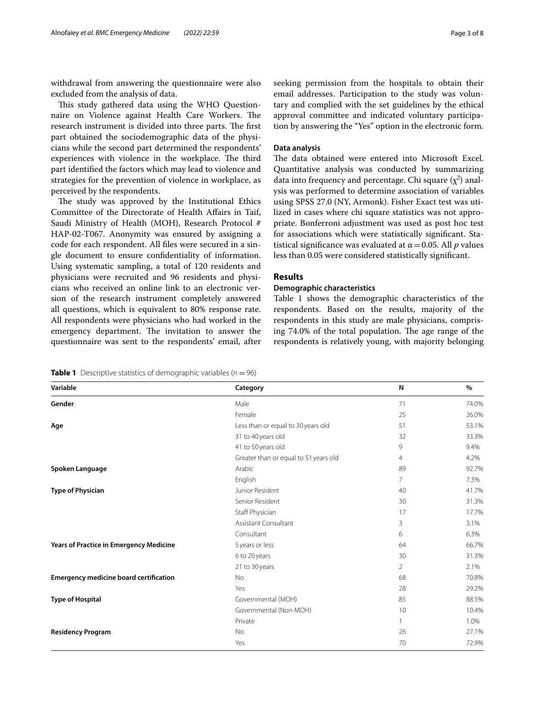withdrawal from answering the questionnaire were also excluded from the analysis of data.

This study gathered data using the WHO Questionnaire on Violence against Health Care Workers. The research instrument is divided into three parts. The first part obtained the sociodemographic data of the physicians while the second part determined the respondents' experiences with violence in the workplace. The third part identifed the factors which may lead to violence and strategies for the prevention of violence in workplace, as perceived by the respondents.

The study was approved by the Institutional Ethics Committee of the Directorate of Health Afairs in Taif, Saudi Ministry of Health (MOH), Research Protocol # HAP-02-T067. Anonymity was ensured by assigning a code for each respondent. All fles were secured in a single document to ensure confdentiality of information. Using systematic sampling, a total of 120 residents and physicians were recruited and 96 residents and physicians who received an online link to an electronic version of the research instrument completely answered all questions, which is equivalent to 80% response rate. All respondents were physicians who had worked in the emergency department. The invitation to answer the questionnaire was sent to the respondents' email, after

# **Data analysis**

The data obtained were entered into Microsoft Excel. Quantitative analysis was conducted by summarizing data into frequency and percentage. Chi square  $(\chi^2)$  analysis was performed to determine association of variables using SPSS 27.0 (NY, Armonk). Fisher Exact test was utilized in cases where chi square statistics was not appropriate. Bonferroni adjustment was used as post hoc test for associations which were statistically signifcant. Statistical significance was evaluated at  $\alpha$  = 0.05. All *p* values less than 0.05 were considered statistically signifcant.

# **Results**

# **Demographic characteristics**

Table [1](#page-2-0) shows the demographic characteristics of the respondents. Based on the results, majority of the respondents in this study are male physicians, comprising 74.0% of the total population. The age range of the respondents is relatively young, with majority belonging

<span id="page-2-0"></span>**Table 1** Descriptive statistics of demographic variables  $(n = 96)$ 

| Variable                                       | Category                              | N              | $\%$  |
|------------------------------------------------|---------------------------------------|----------------|-------|
| Gender                                         | Male                                  | 71             | 74.0% |
|                                                | Female                                | 25             | 26.0% |
| Age                                            | Less than or equal to 30 years old    | 51             | 53.1% |
|                                                | 31 to 40 years old                    | 32             | 33.3% |
|                                                | 41 to 50 years old                    | 9              | 9.4%  |
|                                                | Greater than or equal to 51 years old | 4              | 4.2%  |
| Spoken Language                                | Arabic                                | 89             | 92.7% |
|                                                | English                               | 7              | 7.3%  |
| <b>Type of Physician</b>                       | Junior Resident                       | 40             | 41.7% |
|                                                | Senior Resident                       | 30             | 31.3% |
|                                                | Staff Physician                       | 17             | 17.7% |
|                                                | Assistant Consultant                  | 3              | 3.1%  |
|                                                | Consultant                            | 6              | 6.3%  |
| <b>Years of Practice in Emergency Medicine</b> | 5 years or less                       | 64             | 66.7% |
|                                                | 6 to 20 years                         | 30             | 31.3% |
|                                                | 21 to 30 years                        | $\overline{2}$ | 2.1%  |
| <b>Emergency medicine board certification</b>  | No                                    | 68             | 70.8% |
|                                                | Yes                                   | 28             | 29.2% |
| <b>Type of Hospital</b>                        | Governmental (MOH)                    | 85             | 88.5% |
|                                                | Governmental (Non-MOH)                | 10             | 10.4% |
|                                                | Private                               | $\mathbf{1}$   | 1.0%  |
| <b>Residency Program</b>                       | No                                    | 26             | 27.1% |
|                                                | Yes                                   | 70             | 72.9% |
|                                                |                                       |                |       |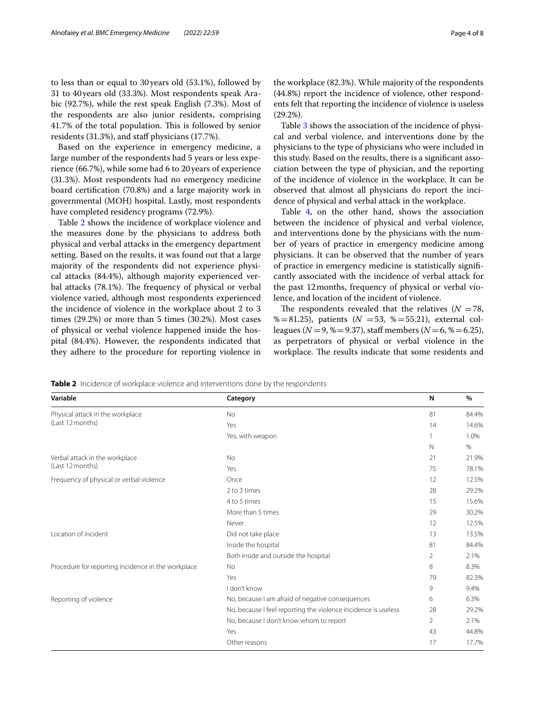to less than or equal to 30 years old (53.1%), followed by 31 to 40years old (33.3%). Most respondents speak Arabic (92.7%), while the rest speak English (7.3%). Most of the respondents are also junior residents, comprising 41.7% of the total population. This is followed by senior residents (31.3%), and staff physicians (17.7%).

Based on the experience in emergency medicine, a large number of the respondents had 5 years or less experience (66.7%), while some had 6 to 20 years of experience (31.3%). Most respondents had no emergency medicine board certifcation (70.8%) and a large majority work in governmental (MOH) hospital. Lastly, most respondents have completed residency programs (72.9%).

Table [2](#page-3-0) shows the incidence of workplace violence and the measures done by the physicians to address both physical and verbal attacks in the emergency department setting. Based on the results, it was found out that a large majority of the respondents did not experience physical attacks (84.4%), although majority experienced verbal attacks (78.1%). The frequency of physical or verbal violence varied, although most respondents experienced the incidence of violence in the workplace about 2 to 3 times (29.2%) or more than 5 times (30.2%). Most cases of physical or verbal violence happened inside the hospital (84.4%). However, the respondents indicated that they adhere to the procedure for reporting violence in the workplace (82.3%). While majority of the respondents (44.8%) report the incidence of violence, other respondents felt that reporting the incidence of violence is useless (29.2%).

Table [3](#page-4-0) shows the association of the incidence of physical and verbal violence, and interventions done by the physicians to the type of physicians who were included in this study. Based on the results, there is a signifcant association between the type of physician, and the reporting of the incidence of violence in the workplace. It can be observed that almost all physicians do report the incidence of physical and verbal attack in the workplace.

Table [4](#page-5-0), on the other hand, shows the association between the incidence of physical and verbal violence, and interventions done by the physicians with the number of years of practice in emergency medicine among physicians. It can be observed that the number of years of practice in emergency medicine is statistically signifcantly associated with the incidence of verbal attack for the past 12months, frequency of physical or verbal violence, and location of the incident of violence.

The respondents revealed that the relatives  $(N = 78,$ %=81.25), patients ( $N = 53$ , %=55.21), external colleagues (*N* = 9, % = 9.37), staff members (*N* = 6, % = 6.25), as perpetrators of physical or verbal violence in the workplace. The results indicate that some residents and

<span id="page-3-0"></span>**Table 2** Incidence of workplace violence and interventions done by the respondents

| Variable                                             | Category                                                       | N           | %     |
|------------------------------------------------------|----------------------------------------------------------------|-------------|-------|
| Physical attack in the workplace<br>(Last 12 months) | <b>No</b>                                                      | 81          | 84.4% |
|                                                      | Yes                                                            | 14          | 14.6% |
|                                                      | Yes, with weapon                                               |             | 1.0%  |
|                                                      |                                                                | $\mathbb N$ | $\%$  |
| Verbal attack in the workplace                       | <b>No</b>                                                      | 21          | 21.9% |
| (Last 12 months)                                     | Yes                                                            | 75          | 78.1% |
| Frequency of physical or verbal violence             | Once                                                           | 12          | 12.5% |
|                                                      | 2 to 3 times                                                   | 28          | 29.2% |
|                                                      | 4 to 5 times                                                   | 15          | 15.6% |
|                                                      | More than 5 times                                              | 29          | 30.2% |
|                                                      | Never                                                          | 12          | 12.5% |
| Location of incident                                 | Did not take place                                             | 13          | 13.5% |
|                                                      | Inside the hospital                                            | 81          | 84.4% |
|                                                      | Both inside and outside the hospital                           | 2           | 2.1%  |
| Procedure for reporting incidence in the workplace   | <b>No</b>                                                      | 8           | 8.3%  |
|                                                      | Yes                                                            | 79          | 82.3% |
|                                                      | I don't know                                                   | 9           | 9.4%  |
| Reporting of violence                                | No, because I am afraid of negative consequences               | 6           | 6.3%  |
|                                                      | No, because I feel reporting the violence incidence is useless | 28          | 29.2% |
|                                                      | No, because I don't know whom to report                        | 2           | 2.1%  |
|                                                      | Yes                                                            | 43          | 44.8% |
|                                                      | Other reasons                                                  | 17          | 17.7% |
|                                                      |                                                                |             |       |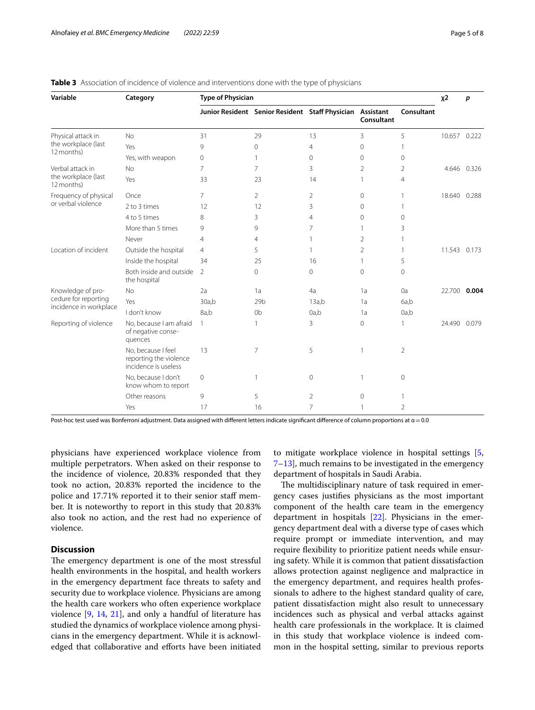| Variable                                                | Category                                                             | <b>Type of Physician</b> |                                                           |                |                |                | $x^2$        | p            |
|---------------------------------------------------------|----------------------------------------------------------------------|--------------------------|-----------------------------------------------------------|----------------|----------------|----------------|--------------|--------------|
|                                                         |                                                                      |                          | Junior Resident Senior Resident Staff Physician Assistant |                | Consultant     | Consultant     |              |              |
| Physical attack in<br>the workplace (last<br>12 months) | No                                                                   | 31                       | 29                                                        | 13             | 3              | 5              | 10.657       | 0.222        |
|                                                         | Yes                                                                  | 9                        | $\Omega$                                                  | $\overline{4}$ | $\Omega$       | 1              |              |              |
|                                                         | Yes, with weapon                                                     | $\mathbf 0$              | $\mathbf{1}$                                              | 0              | 0              | $\Omega$       |              |              |
| Verbal attack in<br>the workplace (last<br>12 months)   | <b>No</b>                                                            | 7                        | 7                                                         | 3              | $\overline{2}$ | 2              |              | 4.646 0.326  |
|                                                         | Yes                                                                  | 33                       | 23                                                        | 14             | $\mathbf{1}$   | $\overline{4}$ |              |              |
| Frequency of physical<br>or verbal violence             | Once                                                                 | 7                        | $\overline{2}$                                            | 2              | $\circ$        | 1              | 18.640       | 0.288        |
|                                                         | 2 to 3 times                                                         | 12                       | 12                                                        | 3              | $\Omega$       | 1              |              |              |
|                                                         | 4 to 5 times                                                         | 8                        | 3                                                         | $\overline{4}$ | 0              | $\Omega$       |              |              |
|                                                         | More than 5 times                                                    | 9                        | 9                                                         | 7              | 1              | 3              |              |              |
|                                                         | Never                                                                | 4                        | 4                                                         | 1              | $\overline{2}$ | 1              |              |              |
| Location of incident                                    | Outside the hospital                                                 | 4                        | 5                                                         | 1.             | $\overline{2}$ | 1              |              | 11.543 0.173 |
|                                                         | Inside the hospital                                                  | 34                       | 25                                                        | 16             | 1              | 5              |              |              |
|                                                         | Both inside and outside<br>the hospital                              | $\overline{2}$           | $\Omega$                                                  | 0              | $\Omega$       | $\Omega$       |              |              |
| Knowledge of pro-                                       | <b>No</b>                                                            | 2a                       | 1a                                                        | 4a             | 1a             | 0a             | 22.700       | 0.004        |
| cedure for reporting                                    | Yes                                                                  | 30a,b                    | 29 <sub>b</sub>                                           | 13a,b          | 1a             | 6a,b           |              |              |
| incidence in workplace                                  | I don't know                                                         | 8a,b                     | 0 <sub>b</sub>                                            | 0a,b           | 1a             | 0a,b           |              |              |
| Reporting of violence                                   | No, because I am afraid<br>of negative conse-<br>quences             | 1                        | $\mathbf{1}$                                              | 3              | $\Omega$       | $\mathbf{1}$   | 24.490 0.079 |              |
|                                                         | No, because I feel<br>reporting the violence<br>incidence is useless | 13                       | 7                                                         | 5              |                | $\overline{2}$ |              |              |
|                                                         | No. because I don't<br>know whom to report                           | $\circ$                  | $\mathbf{1}$                                              | $\circ$        |                | $\mathbf{0}$   |              |              |
|                                                         | Other reasons                                                        | 9                        | 5                                                         | 2              | $\Omega$       |                |              |              |
|                                                         | Yes                                                                  | 17                       | 16                                                        | 7              |                | $\overline{2}$ |              |              |

## <span id="page-4-0"></span>**Table 3** Association of incidence of violence and interventions done with the type of physicians

Post-hoc test used was Bonferroni adjustment. Data assigned with different letters indicate significant difference of column proportions at α = 0.0

physicians have experienced workplace violence from multiple perpetrators. When asked on their response to the incidence of violence, 20.83% responded that they took no action, 20.83% reported the incidence to the police and 17.71% reported it to their senior staff member. It is noteworthy to report in this study that 20.83% also took no action, and the rest had no experience of violence.

# **Discussion**

The emergency department is one of the most stressful health environments in the hospital, and health workers in the emergency department face threats to safety and security due to workplace violence. Physicians are among the health care workers who often experience workplace violence [\[9,](#page-7-12) [14](#page-7-10), [21\]](#page-7-18), and only a handful of literature has studied the dynamics of workplace violence among physicians in the emergency department. While it is acknowledged that collaborative and efforts have been initiated to mitigate workplace violence in hospital settings [\[5](#page-7-4), [7–](#page-7-6)[13](#page-7-9)], much remains to be investigated in the emergency department of hospitals in Saudi Arabia.

The multidisciplinary nature of task required in emergency cases justifes physicians as the most important component of the health care team in the emergency department in hospitals  $[22]$  $[22]$ . Physicians in the emergency department deal with a diverse type of cases which require prompt or immediate intervention, and may require fexibility to prioritize patient needs while ensuring safety. While it is common that patient dissatisfaction allows protection against negligence and malpractice in the emergency department, and requires health professionals to adhere to the highest standard quality of care, patient dissatisfaction might also result to unnecessary incidences such as physical and verbal attacks against health care professionals in the workplace. It is claimed in this study that workplace violence is indeed common in the hospital setting, similar to previous reports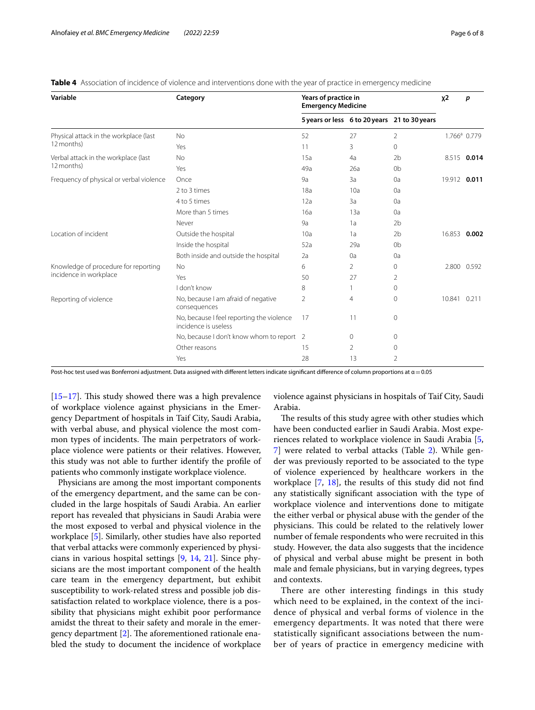| Variable                                                       | Category                                                          | Years of practice in<br><b>Emergency Medicine</b> |              |                                              | $x^2$  | p                        |
|----------------------------------------------------------------|-------------------------------------------------------------------|---------------------------------------------------|--------------|----------------------------------------------|--------|--------------------------|
|                                                                |                                                                   |                                                   |              | 5 years or less 6 to 20 years 21 to 30 years |        |                          |
| Physical attack in the workplace (last<br>12 months)           | No                                                                | 52                                                | 27           | 2                                            |        | 1.766 <sup>ª</sup> 0.779 |
|                                                                | Yes                                                               | 11                                                | 3            | $\Omega$                                     |        |                          |
| Verbal attack in the workplace (last<br>12 months)             | No                                                                | 15a                                               | 4a           | 2 <sub>b</sub>                               |        | 8.515 0.014              |
|                                                                | Yes                                                               | 49a                                               | 26a          | 0 <sub>b</sub>                               |        |                          |
| Frequency of physical or verbal violence                       | Once                                                              | 9a                                                | 3a           | 0a                                           |        | 19.912 0.011             |
|                                                                | 2 to 3 times                                                      | 18a                                               | 10a          | 0a                                           |        |                          |
|                                                                | 4 to 5 times                                                      | 12a                                               | 3a           | 0a                                           |        |                          |
|                                                                | More than 5 times                                                 | 16a                                               | 13a          | 0a                                           |        |                          |
|                                                                | Never                                                             | 9a                                                | 1a           | 2 <sub>b</sub>                               |        |                          |
| Location of incident                                           | Outside the hospital                                              | 10a                                               | 1a           | 2 <sub>b</sub>                               |        | 16.853 0.002             |
|                                                                | Inside the hospital                                               | 52a                                               | 29a          | 0 <sub>b</sub>                               |        |                          |
|                                                                | Both inside and outside the hospital                              | 2a                                                | 0a           | 0a                                           |        |                          |
| Knowledge of procedure for reporting<br>incidence in workplace | No                                                                | 6                                                 | 2            | 0                                            |        | 2.800 0.592              |
|                                                                | Yes                                                               | 50                                                | 27           | 2                                            |        |                          |
|                                                                | I don't know                                                      | 8                                                 |              | $\Omega$                                     |        |                          |
| Reporting of violence                                          | No, because I am afraid of negative<br>consequences               | $\mathfrak{D}$                                    | 4            | $\Omega$                                     | 10.841 | 0.211                    |
|                                                                | No, because I feel reporting the violence<br>incidence is useless | 17                                                | 11           | 0                                            |        |                          |
|                                                                | No, because I don't know whom to report 2                         |                                                   | $\mathbf{0}$ | 0                                            |        |                          |
|                                                                | Other reasons                                                     | 15                                                | 2            | 0                                            |        |                          |
|                                                                | Yes                                                               | 28                                                | 13           | $\overline{2}$                               |        |                          |

<span id="page-5-0"></span>**Table 4** Association of incidence of violence and interventions done with the year of practice in emergency medicine

Post-hoc test used was Bonferroni adjustment. Data assigned with different letters indicate significant difference of column proportions at  $\alpha$  = 0.05

 $[15–17]$  $[15–17]$  $[15–17]$  $[15–17]$ . This study showed there was a high prevalence of workplace violence against physicians in the Emergency Department of hospitals in Taif City, Saudi Arabia, with verbal abuse, and physical violence the most common types of incidents. The main perpetrators of workplace violence were patients or their relatives. However, this study was not able to further identify the profle of patients who commonly instigate workplace violence.

Physicians are among the most important components of the emergency department, and the same can be concluded in the large hospitals of Saudi Arabia. An earlier report has revealed that physicians in Saudi Arabia were the most exposed to verbal and physical violence in the workplace [\[5](#page-7-4)]. Similarly, other studies have also reported that verbal attacks were commonly experienced by physicians in various hospital settings [[9,](#page-7-12) [14,](#page-7-10) [21](#page-7-18)]. Since physicians are the most important component of the health care team in the emergency department, but exhibit susceptibility to work-related stress and possible job dissatisfaction related to workplace violence, there is a possibility that physicians might exhibit poor performance amidst the threat to their safety and morale in the emergency department  $[2]$  $[2]$ . The aforementioned rationale enabled the study to document the incidence of workplace violence against physicians in hospitals of Taif City, Saudi Arabia.

The results of this study agree with other studies which have been conducted earlier in Saudi Arabia. Most experiences related to workplace violence in Saudi Arabia [\[5](#page-7-4), [7\]](#page-7-6) were related to verbal attacks (Table [2\)](#page-3-0). While gender was previously reported to be associated to the type of violence experienced by healthcare workers in the workplace [[7](#page-7-6), [18](#page-7-15)], the results of this study did not fnd any statistically signifcant association with the type of workplace violence and interventions done to mitigate the either verbal or physical abuse with the gender of the physicians. This could be related to the relatively lower number of female respondents who were recruited in this study. However, the data also suggests that the incidence of physical and verbal abuse might be present in both male and female physicians, but in varying degrees, types and contexts.

There are other interesting findings in this study which need to be explained, in the context of the incidence of physical and verbal forms of violence in the emergency departments. It was noted that there were statistically significant associations between the number of years of practice in emergency medicine with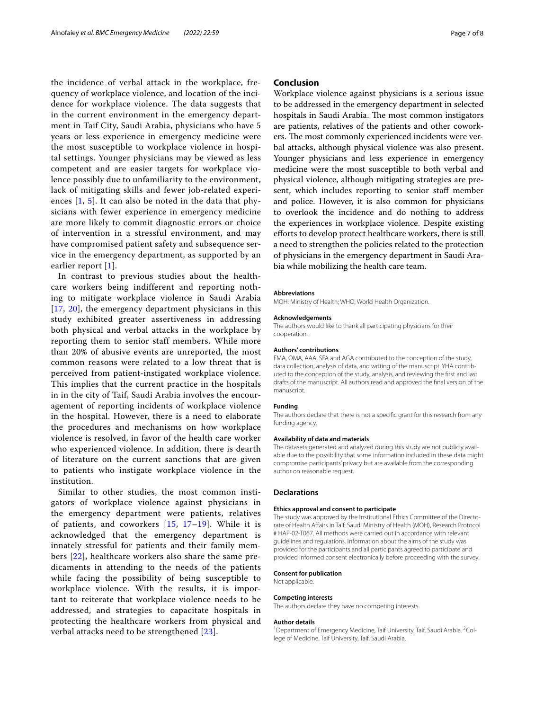the incidence of verbal attack in the workplace, frequency of workplace violence, and location of the incidence for workplace violence. The data suggests that in the current environment in the emergency department in Taif City, Saudi Arabia, physicians who have 5 years or less experience in emergency medicine were the most susceptible to workplace violence in hospital settings. Younger physicians may be viewed as less competent and are easier targets for workplace violence possibly due to unfamiliarity to the environment, lack of mitigating skills and fewer job-related experiences [[1,](#page-7-0) [5\]](#page-7-4). It can also be noted in the data that physicians with fewer experience in emergency medicine are more likely to commit diagnostic errors or choice of intervention in a stressful environment, and may have compromised patient safety and subsequence service in the emergency department, as supported by an earlier report [[1\]](#page-7-0).

In contrast to previous studies about the healthcare workers being indifferent and reporting nothing to mitigate workplace violence in Saudi Arabia [[17](#page-7-14), [20](#page-7-17)], the emergency department physicians in this study exhibited greater assertiveness in addressing both physical and verbal attacks in the workplace by reporting them to senior staff members. While more than 20% of abusive events are unreported, the most common reasons were related to a low threat that is perceived from patient-instigated workplace violence. This implies that the current practice in the hospitals in in the city of Taif, Saudi Arabia involves the encouragement of reporting incidents of workplace violence in the hospital. However, there is a need to elaborate the procedures and mechanisms on how workplace violence is resolved, in favor of the health care worker who experienced violence. In addition, there is dearth of literature on the current sanctions that are given to patients who instigate workplace violence in the institution.

Similar to other studies, the most common instigators of workplace violence against physicians in the emergency department were patients, relatives of patients, and coworkers [[15](#page-7-13), [17–](#page-7-14)[19](#page-7-16)]. While it is acknowledged that the emergency department is innately stressful for patients and their family members [\[22\]](#page-7-19), healthcare workers also share the same predicaments in attending to the needs of the patients while facing the possibility of being susceptible to workplace violence. With the results, it is important to reiterate that workplace violence needs to be addressed, and strategies to capacitate hospitals in protecting the healthcare workers from physical and verbal attacks need to be strengthened [[23](#page-7-20)].

# **Conclusion**

Workplace violence against physicians is a serious issue to be addressed in the emergency department in selected hospitals in Saudi Arabia. The most common instigators are patients, relatives of the patients and other coworkers. The most commonly experienced incidents were verbal attacks, although physical violence was also present. Younger physicians and less experience in emergency medicine were the most susceptible to both verbal and physical violence, although mitigating strategies are present, which includes reporting to senior staff member and police. However, it is also common for physicians to overlook the incidence and do nothing to address the experiences in workplace violence. Despite existing eforts to develop protect healthcare workers, there is still a need to strengthen the policies related to the protection of physicians in the emergency department in Saudi Arabia while mobilizing the health care team.

#### **Abbreviations**

MOH: Ministry of Health; WHO: World Health Organization.

#### **Acknowledgements**

The authors would like to thank all participating physicians for their cooperation.

#### **Authors' contributions**

FMA, OMA, AAA, SFA and AGA contributed to the conception of the study, data collection, analysis of data, and writing of the manuscript. YHA contributed to the conception of the study, analysis, and reviewing the frst and last drafts of the manuscript. All authors read and approved the fnal version of the manuscript.

## **Funding**

The authors declare that there is not a specifc grant for this research from any funding agency.

#### **Availability of data and materials**

The datasets generated and analyzed during this study are not publicly available due to the possibility that some information included in these data might compromise participants' privacy but are available from the corresponding author on reasonable request.

# **Declarations**

## **Ethics approval and consent to participate**

The study was approved by the Institutional Ethics Committee of the Directorate of Health Afairs in Taif, Saudi Ministry of Health (MOH), Research Protocol # HAP-02-T067. All methods were carried out in accordance with relevant guidelines and regulations. Information about the aims of the study was provided for the participants and all participants agreed to participate and provided informed consent electronically before proceeding with the survey.

#### **Consent for publication**

Not applicable.

#### **Competing interests**

The authors declare they have no competing interests.

#### **Author details**

<sup>1</sup> Department of Emergency Medicine, Taif University, Taif, Saudi Arabia. <sup>2</sup>College of Medicine, Taif University, Taif, Saudi Arabia.